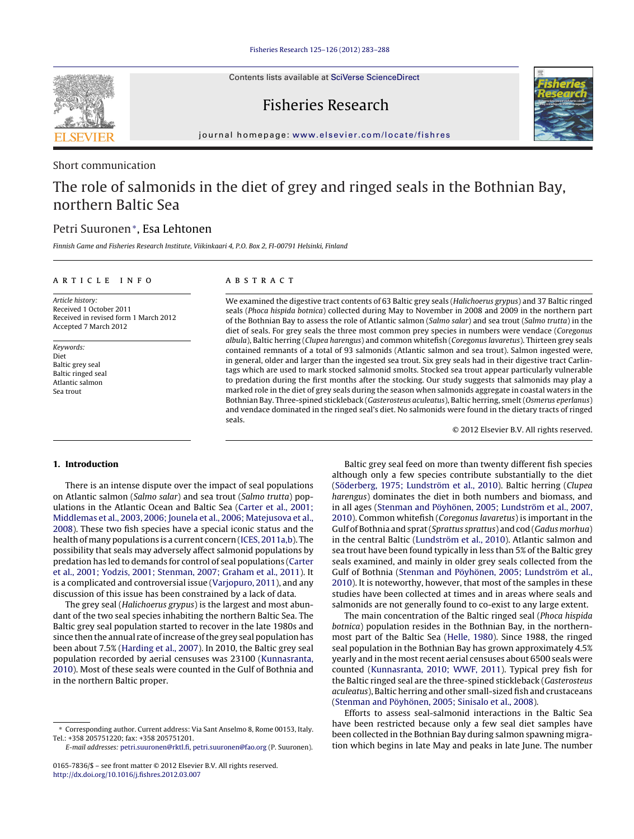Contents lists available at SciVerse [ScienceDirect](http://www.sciencedirect.com/science/journal/01657836)

# Fisheries Research



jour nal homepage: [www.elsevier.com/locate/fishres](http://www.elsevier.com/locate/fishres)

### Short communication

# The role of salmonids in the diet of grey and ringed seals in the Bothnian Bay, northern Baltic Sea

## Petri Suuronen∗, Esa Lehtonen

Finnish Game and Fisheries Research Institute, Viikinkaari 4, P.O. Box 2, FI-00791 Helsinki, Finland

#### ARTICLE INFO

Article history: Received 1 October 2011 Received in revised form 1 March 2012 Accepted 7 March 2012

Keywords: Diet Baltic grey seal Baltic ringed seal Atlantic salmon Sea trout

### A B S T R A C T

We examined the digestive tract contents of 63 Baltic grey seals (Halichoerus grypus) and 37 Baltic ringed seals (Phoca hispida botnica) collected during May to November in 2008 and 2009 in the northern part of the Bothnian Bay to assess the role of Atlantic salmon (Salmo salar) and sea trout (Salmo trutta) in the diet of seals. For grey seals the three most common prey species in numbers were vendace (Coregonus albula), Baltic herring (Clupea harengus) and common whitefish (Coregonus lavaretus). Thirteen grey seals contained remnants of a total of 93 salmonids (Atlantic salmon and sea trout). Salmon ingested were, in general, older and larger than the ingested sea trout. Six grey seals had in their digestive tract Carlintags which are used to mark stocked salmonid smolts. Stocked sea trout appear particularly vulnerable to predation during the first months after the stocking. Our study suggests that salmonids may play a marked role in the diet of grey seals during the season when salmonids aggregate in coastal waters in the Bothnian Bay. Three-spined stickleback (Gasterosteus aculeatus), Baltic herring, smelt (Osmerus eperlanus) and vendace dominated in the ringed seal's diet. No salmonids were found in the dietary tracts of ringed seals.

© 2012 Elsevier B.V. All rights reserved.

### **1. Introduction**

There is an intense dispute over the impact of seal populations on Atlantic salmon (Salmo salar) and sea trout (Salmo trutta) populations in the Atlantic Ocean and Baltic Sea ([Carter](#page-4-0) et [al.,](#page-4-0) [2001;](#page-4-0) [Middlemas](#page-4-0) et [al.,](#page-4-0) [2003,](#page-4-0) [2006;](#page-4-0) [Jounela](#page-4-0) et [al.,](#page-4-0) [2006;](#page-4-0) [Matejusova](#page-4-0) et [al.,](#page-4-0) [2008\).](#page-4-0) These two fish species have a special iconic status and the health of many populations is a current concern ([ICES,](#page-4-0) [2011a,b\).](#page-4-0) The possibility that seals may adversely affect salmonid populations by predation has led to demands for control of seal populations ([Carter](#page-4-0) et [al.,](#page-4-0) [2001;](#page-4-0) [Yodzis,](#page-4-0) [2001;](#page-4-0) [Stenman,](#page-4-0) [2007;](#page-4-0) [Graham](#page-4-0) et [al.,](#page-4-0) [2011\).](#page-4-0) It is a complicated and controversial issue ([Varjopuro,](#page-5-0) [2011\),](#page-5-0) and any discussion of this issue has been constrained by a lack of data.

The grey seal (Halichoerus grypus) is the largest and most abundant of the two seal species inhabiting the northern Baltic Sea. The Baltic grey seal population started to recover in the late 1980s and since then the annual rate of increase of the grey seal population has been about 7.5% ([Harding](#page-4-0) et [al.,](#page-4-0) [2007\).](#page-4-0) In 2010, the Baltic grey seal population recorded by aerial censuses was 23100 ([Kunnasranta,](#page-4-0) [2010\).](#page-4-0) Most of these seals were counted in the Gulf of Bothnia and in the northern Baltic proper.

Baltic grey seal feed on more than twenty different fish species although only a few species contribute substantially to the diet [\(Söderberg,](#page-4-0) [1975;](#page-4-0) [Lundström](#page-4-0) et [al.,](#page-4-0) [2010\).](#page-4-0) Baltic herring (Clupea harengus) dominates the diet in both numbers and biomass, and in all ages [\(Stenman](#page-4-0) [and](#page-4-0) [Pöyhönen,](#page-4-0) [2005;](#page-4-0) [Lundström](#page-4-0) et [al.,](#page-4-0) [2007,](#page-4-0) [2010\).](#page-4-0) Common whitefish (Coregonus lavaretus) is important in the Gulf of Bothnia and sprat(Sprattus sprattus) and cod (Gadus morhua) in the central Baltic [\(Lundström](#page-4-0) et [al.,](#page-4-0) [2010\).](#page-4-0) Atlantic salmon and sea trout have been found typically in less than 5% of the Baltic grey seals examined, and mainly in older grey seals collected from the Gulf of Bothnia ([Stenman](#page-4-0) [and](#page-4-0) [Pöyhönen,](#page-4-0) [2005;](#page-4-0) [Lundström](#page-4-0) et [al.,](#page-4-0) [2010\).](#page-4-0) It is noteworthy, however, that most of the samples in these studies have been collected at times and in areas where seals and salmonids are not generally found to co-exist to any large extent.

The main concentration of the Baltic ringed seal (Phoca hispida botnica) population resides in the Bothnian Bay, in the northernmost part of the Baltic Sea [\(Helle,](#page-4-0) [1980\).](#page-4-0) Since 1988, the ringed seal population in the Bothnian Bay has grown approximately 4.5% yearly and in the most recent aerial censuses about 6500 seals were counted ([Kunnasranta,](#page-4-0) [2010;](#page-4-0) [WWF,](#page-4-0) [2011\).](#page-4-0) Typical prey fish for the Baltic ringed seal are the three-spined stickleback (Gasterosteus aculeatus), Baltic herring and other small-sized fish and crustaceans [\(Stenman](#page-4-0) [and](#page-4-0) [Pöyhönen,](#page-4-0) [2005;](#page-4-0) [Sinisalo](#page-4-0) et [al.,](#page-4-0) [2008\).](#page-4-0)

Efforts to assess seal-salmonid interactions in the Baltic Sea have been restricted because only a few seal diet samples have been collected in the Bothnian Bay during salmon spawning migration which begins in late May and peaks in late June. The number



<sup>∗</sup> Corresponding author. Current address: Via Sant Anselmo 8, Rome 00153, Italy. Tel.: +358 205751220; fax: +358 205751201.

E-mail addresses: [petri.suuronen@rktl.fi,](mailto:petri.suuronen@rktl.fi) [petri.suuronen@fao.org](mailto:petri.suuronen@fao.org) (P. Suuronen).

<sup>0165-7836/\$</sup> – see front matter © 2012 Elsevier B.V. All rights reserved. [http://dx.doi.org/10.1016/j.fishres.2012.03.007](dx.doi.org/10.1016/j.fishres.2012.03.007)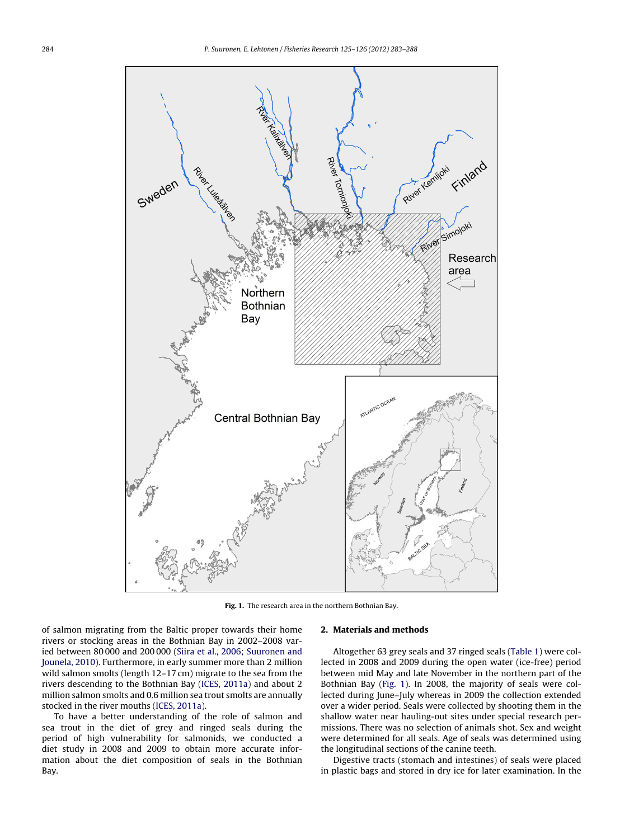

**Fig. 1.** The research area in the northern Bothnian Bay.

of salmon migrating from the Baltic proper towards their home rivers or stocking areas in the Bothnian Bay in 2002–2008 varied between 80 000 and 200 000 [\(Siira](#page-4-0) et [al.,](#page-4-0) [2006;](#page-4-0) [Suuronen](#page-4-0) [and](#page-4-0) [Jounela,](#page-4-0) [2010\).](#page-4-0) Furthermore, in early summer more than 2 million wild salmon smolts (length 12–17 cm) migrate to the sea from the rivers descending to the Bothnian Bay [\(ICES,](#page-4-0) [2011a\)](#page-4-0) and about 2 million salmon smolts and 0.6 million sea trout smolts are annually stocked in the river mouths ([ICES,](#page-4-0) [2011a\).](#page-4-0)

To have a better understanding of the role of salmon and sea trout in the diet of grey and ringed seals during the period of high vulnerability for salmonids, we conducted a diet study in 2008 and 2009 to obtain more accurate information about the diet composition of seals in the Bothnian Bay.

#### **2. Materials and methods**

Altogether 63 grey seals and 37 ringed seals ([Table](#page-2-0) 1) were collected in 2008 and 2009 during the open water (ice-free) period between mid May and late November in the northern part of the Bothnian Bay (Fig. 1). In 2008, the majority of seals were collected during June–July whereas in 2009 the collection extended over a wider period. Seals were collected by shooting them in the shallow water near hauling-out sites under special research permissions. There was no selection of animals shot. Sex and weight were determined for all seals. Age of seals was determined using the longitudinal sections of the canine teeth.

Digestive tracts (stomach and intestines) of seals were placed in plastic bags and stored in dry ice for later examination. In the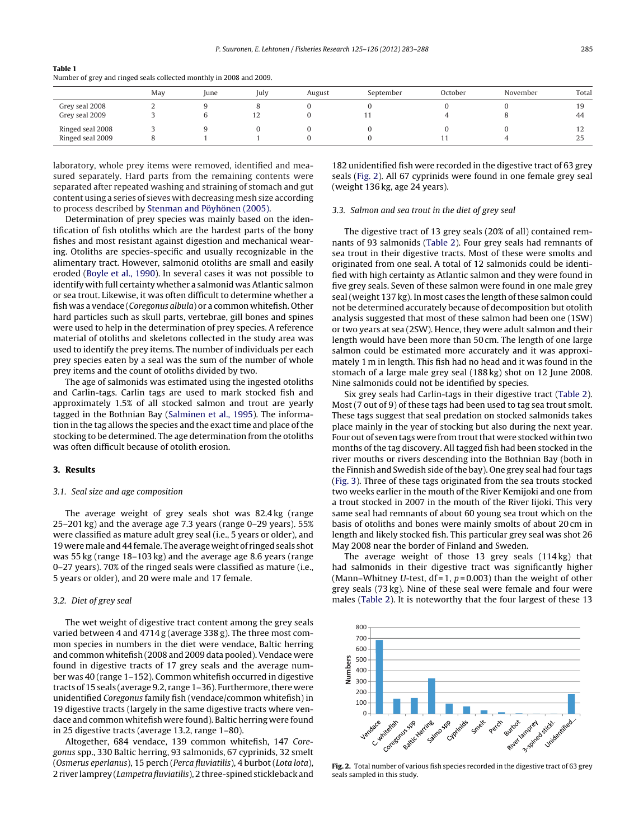#### <span id="page-2-0"></span>**Table 1**

Number of grey and ringed seals collected monthly in 2008 and 2009.

|                  | May | June | July | August | September | October | November | Total          |
|------------------|-----|------|------|--------|-----------|---------|----------|----------------|
| Grey seal 2008   |     |      |      |        |           |         |          | 19             |
| Grey seal 2009   |     |      | 12   |        |           |         |          | 44             |
| Ringed seal 2008 |     |      |      |        |           |         |          | $\overline{1}$ |
| Ringed seal 2009 |     |      |      |        |           | -1-1    |          | 25             |

laboratory, whole prey items were removed, identified and measured separately. Hard parts from the remaining contents were separated after repeated washing and straining of stomach and gut content using a series of sieves with decreasing mesh size according to process described by [Stenman](#page-4-0) [and](#page-4-0) [Pöyhönen](#page-4-0) [\(2005\).](#page-4-0)

Determination of prey species was mainly based on the identification of fish otoliths which are the hardest parts of the bony fishes and most resistant against digestion and mechanical wearing. Otoliths are species-specific and usually recognizable in the alimentary tract. However, salmonid otoliths are small and easily eroded [\(Boyle](#page-4-0) et [al.,](#page-4-0) [1990\).](#page-4-0) In several cases it was not possible to identify with full certainty whether a salmonid was Atlantic salmon or sea trout. Likewise, it was often difficult to determine whether a fish was a vendace (Coregonus albula) or a common whitefish. Other hard particles such as skull parts, vertebrae, gill bones and spines were used to help in the determination of prey species. A reference material of otoliths and skeletons collected in the study area was used to identify the prey items. The number of individuals per each prey species eaten by a seal was the sum of the number of whole prey items and the count of otoliths divided by two.

The age of salmonids was estimated using the ingested otoliths and Carlin-tags. Carlin tags are used to mark stocked fish and approximately 1.5% of all stocked salmon and trout are yearly tagged in the Bothnian Bay [\(Salminen](#page-4-0) et [al.,](#page-4-0) [1995\).](#page-4-0) The information in the tag allows the species and the exact time and place of the stocking to be determined. The age determination from the otoliths was often difficult because of otolith erosion.

#### **3. Results**

#### 3.1. Seal size and age composition

The average weight of grey seals shot was 82.4 kg (range 25–201 kg) and the average age 7.3 years (range 0–29 years). 55% were classified as mature adult grey seal (i.e., 5 years or older), and 19 were male and 44 female. The average weight of ringed seals shot was 55 kg (range 18–103 kg) and the average age 8.6 years (range 0–27 years). 70% of the ringed seals were classified as mature (i.e., 5 years or older), and 20 were male and 17 female.

#### 3.2. Diet of grey seal

The wet weight of digestive tract content among the grey seals varied between 4 and 4714 g (average 338 g). The three most common species in numbers in the diet were vendace, Baltic herring and common whitefish (2008 and 2009 data pooled). Vendace were found in digestive tracts of 17 grey seals and the average number was 40 (range 1–152). Common whitefish occurred in digestive tracts of 15 seals (average 9.2, range 1–36). Furthermore,there were unidentified Coregonus family fish (vendace/common whitefish) in 19 digestive tracts (largely in the same digestive tracts where vendace and common whitefish were found). Baltic herring were found in 25 digestive tracts (average 13.2, range 1–80).

Altogether, 684 vendace, 139 common whitefish, 147 Coregonus spp., 330 Baltic herring, 93 salmonids, 67 cyprinids, 32 smelt (Osmerus eperlanus), 15 perch (Perca fluviatilis), 4 burbot (Lota lota), 2 river lamprey (*Lampetra fluviatilis*), 2 three-spined stickleback and

182 unidentified fish were recorded in the digestive tract of 63 grey seals (Fig. 2). All 67 cyprinids were found in one female grey seal (weight 136 kg, age 24 years).

#### 3.3. Salmon and sea trout in the diet of grey seal

The digestive tract of 13 grey seals (20% of all) contained remnants of 93 salmonids [\(Table](#page-3-0) 2). Four grey seals had remnants of sea trout in their digestive tracts. Most of these were smolts and originated from one seal. A total of 12 salmonids could be identified with high certainty as Atlantic salmon and they were found in five grey seals. Seven of these salmon were found in one male grey seal (weight 137 kg). In most cases the length of these salmon could not be determined accurately because of decomposition but otolith analysis suggested that most of these salmon had been one (1SW) or two years at sea (2SW). Hence, they were adult salmon and their length would have been more than 50 cm. The length of one large salmon could be estimated more accurately and it was approximately 1 m in length. This fish had no head and it was found in the stomach of a large male grey seal (188 kg) shot on 12 June 2008. Nine salmonids could not be identified by species.

Six grey seals had Carlin-tags in their digestive tract ([Table](#page-3-0) 2). Most (7 out of 9) of these tags had been used to tag sea trout smolt. These tags suggest that seal predation on stocked salmonids takes place mainly in the year of stocking but also during the next year. Four out of seven tags were from trout that were stocked within two months of the tag discovery. All tagged fish had been stocked in the river mouths or rivers descending into the Bothnian Bay (both in the Finnish and Swedish side ofthe bay). One grey seal had four tags [\(Fig.](#page-3-0) 3). Three of these tags originated from the sea trouts stocked two weeks earlier in the mouth of the River Kemijoki and one from a trout stocked in 2007 in the mouth of the River Iijoki. This very same seal had remnants of about 60 young sea trout which on the basis of otoliths and bones were mainly smolts of about 20 cm in length and likely stocked fish. This particular grey seal was shot 26 May 2008 near the border of Finland and Sweden.

The average weight of those 13 grey seals (114 kg) that had salmonids in their digestive tract was significantly higher (Mann–Whitney U-test,  $df = 1$ ,  $p = 0.003$ ) than the weight of other grey seals (73 kg). Nine of these seal were female and four were males [\(Table](#page-3-0) 2). It is noteworthy that the four largest of these 13



**Fig. 2.** Total number of various fish species recorded in the digestive tract of 63 grey seals sampled in this study.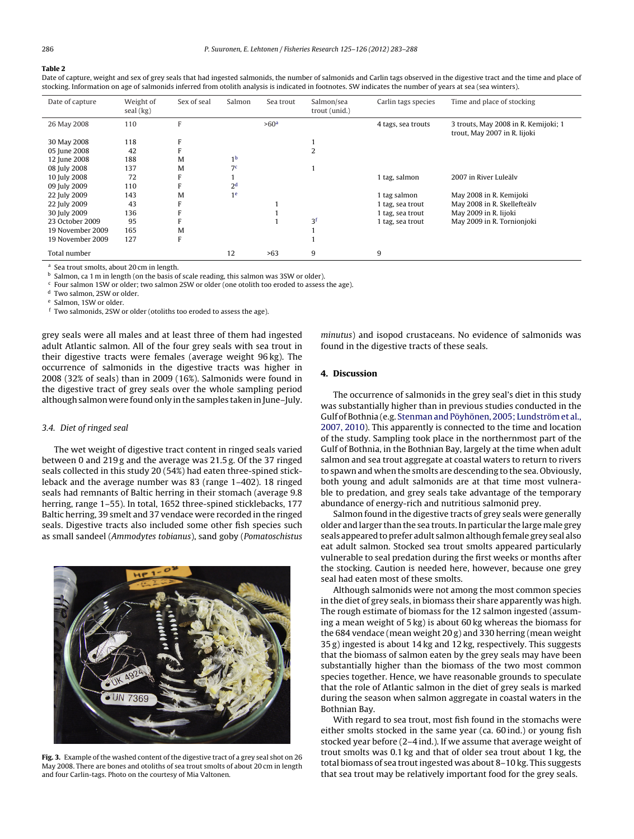### <span id="page-3-0"></span>**Table 2**

Date of capture, weight and sex of grey seals that had ingested salmonids, the number of salmonids and Carlin tags observed in the digestive tract and the time and place of stocking. Information on age of salmonids inferred from otolith analysis is indicated in footnotes. SW indicates the number of years at sea (sea winters).

| Date of capture  | Weight of<br>seal (kg) | Sex of seal | Salmon         | Sea trout        | Salmon/sea<br>trout (unid.) | Carlin tags species | Time and place of stocking                                           |
|------------------|------------------------|-------------|----------------|------------------|-----------------------------|---------------------|----------------------------------------------------------------------|
| 26 May 2008      | 110                    | F           |                | >60 <sup>a</sup> |                             | 4 tags, sea trouts  | 3 trouts, May 2008 in R. Kemijoki; 1<br>trout, May 2007 in R. Iijoki |
| 30 May 2008      | 118                    |             |                |                  |                             |                     |                                                                      |
| 05 June 2008     | 42                     |             |                |                  |                             |                     |                                                                      |
| 12 June 2008     | 188                    | M           | 1 <sup>b</sup> |                  |                             |                     |                                                                      |
| 08 July 2008     | 137                    | M           | 7 <sup>c</sup> |                  |                             |                     |                                                                      |
| 10 July 2008     | 72                     |             |                |                  |                             | 1 tag, salmon       | 2007 in River Luleäly                                                |
| 09 July 2009     | 110                    |             | 2 <sup>d</sup> |                  |                             |                     |                                                                      |
| 22 July 2009     | 143                    | M           | 1 <sup>e</sup> |                  |                             | 1 tag salmon        | May 2008 in R. Kemijoki                                              |
| 22 July 2009     | 43                     |             |                |                  |                             | 1 tag, sea trout    | May 2008 in R. Skellefteälv                                          |
| 30 July 2009     | 136                    |             |                |                  |                             | 1 tag, sea trout    | May 2009 in R. Iijoki                                                |
| 23 October 2009  | 95                     |             |                |                  | 3f                          | 1 tag, sea trout    | May 2009 in R. Tornionjoki                                           |
| 19 November 2009 | 165                    | M           |                |                  |                             |                     |                                                                      |
| 19 November 2009 | 127                    |             |                |                  |                             |                     |                                                                      |
| Total number     |                        |             | 12             | >63              | 9                           | 9                   |                                                                      |

Sea trout smolts, about 20 cm in length.

b Salmon, ca 1 m in length (on the basis of scale reading, this salmon was 3SW or older).

 $c$  Four salmon 1SW or older; two salmon 2SW or older (one otolith too eroded to assess the age).

<sup>d</sup> Two salmon, 2SW or older.

Salmon, 1SW or older.

<sup>f</sup> Two salmonids, 2SW or older (otoliths too eroded to assess the age).

grey seals were all males and at least three of them had ingested adult Atlantic salmon. All of the four grey seals with sea trout in their digestive tracts were females (average weight 96 kg). The occurrence of salmonids in the digestive tracts was higher in 2008 (32% of seals) than in 2009 (16%). Salmonids were found in the digestive tract of grey seals over the whole sampling period although salmon were found only in the samples taken in June–July.

#### 3.4. Diet of ringed seal

The wet weight of digestive tract content in ringed seals varied between 0 and 219 g and the average was 21.5 g. Of the 37 ringed seals collected in this study 20 (54%) had eaten three-spined stickleback and the average number was 83 (range 1–402). 18 ringed seals had remnants of Baltic herring in their stomach (average 9.8 herring, range 1-55). In total, 1652 three-spined sticklebacks, 177 Baltic herring, 39 smelt and 37 vendace were recorded in the ringed seals. Digestive tracts also included some other fish species such as small sandeel (Ammodytes tobianus), sand goby (Pomatoschistus



**Fig. 3.** Example of the washed content of the digestive tract of a grey seal shot on 26 May 2008. There are bones and otoliths of sea trout smolts of about 20 cm in length and four Carlin-tags. Photo on the courtesy of Mia Valtonen.

minutus) and isopod crustaceans. No evidence of salmonids was found in the digestive tracts of these seals.

#### **4. Discussion**

The occurrence of salmonids in the grey seal's diet in this study was substantially higher than in previous studies conducted in the Gulf of Bothnia (e.g. [Stenman](#page-4-0) [and](#page-4-0) [Pöyhönen,](#page-4-0) [2005;](#page-4-0) [Lundströme](#page-4-0)t [al.,](#page-4-0) [2007,](#page-4-0) [2010\).](#page-4-0) This apparently is connected to the time and location of the study. Sampling took place in the northernmost part of the Gulf of Bothnia, in the Bothnian Bay, largely at the time when adult salmon and sea trout aggregate at coastal waters to return to rivers to spawn and when the smolts are descending to the sea. Obviously, both young and adult salmonids are at that time most vulnerable to predation, and grey seals take advantage of the temporary abundance of energy-rich and nutritious salmonid prey.

Salmon found in the digestive tracts of grey seals were generally older and larger than the sea trouts. In particular the large male grey seals appeared to prefer adult salmon although female grey seal also eat adult salmon. Stocked sea trout smolts appeared particularly vulnerable to seal predation during the first weeks or months after the stocking. Caution is needed here, however, because one grey seal had eaten most of these smolts.

Although salmonids were not among the most common species in the diet of grey seals, in biomass their share apparently was high. The rough estimate of biomass for the 12 salmon ingested (assuming a mean weight of 5 kg) is about 60 kg whereas the biomass for the 684 vendace (mean weight 20 g) and 330 herring (mean weight 35 g) ingested is about 14 kg and 12 kg, respectively. This suggests that the biomass of salmon eaten by the grey seals may have been substantially higher than the biomass of the two most common species together. Hence, we have reasonable grounds to speculate that the role of Atlantic salmon in the diet of grey seals is marked during the season when salmon aggregate in coastal waters in the Bothnian Bay.

With regard to sea trout, most fish found in the stomachs were either smolts stocked in the same year (ca. 60 ind.) or young fish stocked year before (2–4 ind.). If we assume that average weight of trout smolts was 0.1 kg and that of older sea trout about 1 kg, the total biomass of sea trout ingested was about 8-10 kg. This suggests that sea trout may be relatively important food for the grey seals.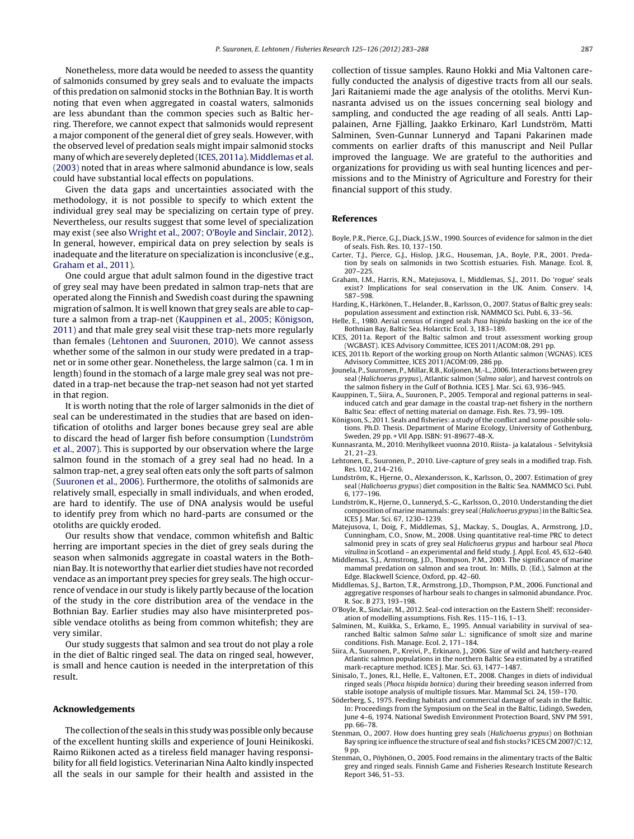<span id="page-4-0"></span>Nonetheless, more data would be needed to assess the quantity of salmonids consumed by grey seals and to evaluate the impacts of this predation on salmonid stocks in the Bothnian Bay. It is worth noting that even when aggregated in coastal waters, salmonids are less abundant than the common species such as Baltic herring. Therefore, we cannot expect that salmonids would represent a major component of the general diet of grey seals. However, with the observed level of predation seals might impair salmonid stocks many of which are severely depleted (ICES, 2011a). Middlemas et al. (2003) noted that in areas where salmonid abundance is low, seals could have substantial local effects on populations.

Given the data gaps and uncertainties associated with the methodology, it is not possible to specify to which extent the individual grey seal may be specializing on certain type of prey. Nevertheless, our results suggest that some level of specialization may exist (see also [Wright](#page-5-0) et [al.,](#page-5-0) [2007;](#page-5-0) [O'Boyle](#page-5-0) [and](#page-5-0) [Sinclair,](#page-5-0) [2012\).](#page-5-0) In general, however, empirical data on prey selection by seals is inadequate and the literature on specialization is inconclusive (e.g., Graham et al., 2011).

One could argue that adult salmon found in the digestive tract of grey seal may have been predated in salmon trap-nets that are operated along the Finnish and Swedish coast during the spawning migration of salmon. It is well known that grey seals are able to capture a salmon from a trap-net (Kauppinen et al., 2005; Königson, 2011) and that male grey seal visit these trap-nets more regularly than females (Lehtonen and Suuronen, 2010). We cannot assess whether some of the salmon in our study were predated in a trapnet or in some other gear. Nonetheless, the large salmon (ca. 1 m in length) found in the stomach of a large male grey seal was not predated in a trap-net because the trap-net season had not yet started in that region.

It is worth noting that the role of larger salmonids in the diet of seal can be underestimated in the studies that are based on identification of otoliths and larger bones because grey seal are able to discard the head of larger fish before consumption (Lundström et al., 2007). This is supported by our observation where the large salmon found in the stomach of a grey seal had no head. In a salmon trap-net, a grey seal often eats only the soft parts of salmon ([Suuronen](#page-5-0) et [al.,](#page-5-0) [2006\).](#page-5-0) Furthermore, the otoliths of salmonids are relatively small, especially in small individuals, and when eroded, are hard to identify. The use of DNA analysis would be useful to identify prey from which no hard-parts are consumed or the otoliths are quickly eroded.

Our results show that vendace, common whitefish and Baltic herring are important species in the diet of grey seals during the season when salmonids aggregate in coastal waters in the Bothnian Bay. Itis noteworthy that earlier diet studies have not recorded vendace as an important prey species for grey seals. The high occurrence of vendace in our study is likely partly because of the location of the study in the core distribution area of the vendace in the Bothnian Bay. Earlier studies may also have misinterpreted possible vendace otoliths as being from common whitefish; they are very similar.

Our study suggests that salmon and sea trout do not play a role in the diet of Baltic ringed seal. The data on ringed seal, however, is small and hence caution is needed in the interpretation of this result.

#### **Acknowledgements**

The collection of the seals in this study was possible only because of the excellent hunting skills and experience of Jouni Heinikoski. Raimo Riikonen acted as a tireless field manager having responsibility for all field logistics. Veterinarian Nina Aalto kindly inspected all the seals in our sample for their health and assisted in the collection of tissue samples. Rauno Hokki and Mia Valtonen carefully conducted the analysis of digestive tracts from all our seals. Jari Raitaniemi made the age analysis of the otoliths. Mervi Kunnasranta advised us on the issues concerning seal biology and sampling, and conducted the age reading of all seals. Antti Lappalainen, Arne Fjälling, Jaakko Erkinaro, Karl Lundström, Matti Salminen, Sven-Gunnar Lunneryd and Tapani Pakarinen made comments on earlier drafts of this manuscript and Neil Pullar improved the language. We are grateful to the authorities and organizations for providing us with seal hunting licences and permissions and to the Ministry of Agriculture and Forestry for their financial support of this study.

#### **References**

- Boyle, P.R., Pierce, G.J., Diack, J.S.W., 1990. Sources of evidence for salmon in the diet of seals. Fish. Res. 10, 137–150.
- Carter, T.J., Pierce, G.J., Hislop, J.R.G., Houseman, J.A., Boyle, P.R., 2001. Predation by seals on salmonids in two Scottish estuaries. Fish. Manage. Ecol. 8, 207–225.
- Graham, I.M., Harris, R.N., Matejusova, I., Middlemas, S.J., 2011. Do 'rogue' seals exist? Implications for seal conservation in the UK. Anim. Conserv. 14, 587–598.
- Harding, K., Härkönen, T., Helander, B., Karlsson, O., 2007. Status of Baltic grey seals: population assessment and extinction risk. NAMMCO Sci. Publ. 6, 33–56.
- Helle, E., 1980. Aerial census of ringed seals Pusa hispida basking on the ice of the Bothnian Bay, Baltic Sea. Holarctic Ecol. 3, 183–189.
- ICES, 2011a. Report of the Baltic salmon and trout assessment working group (WGBAST). ICES Advisory Committee, ICES 2011/ACOM:08, 291 pp.
- ICES, 2011b. Report of the working group on North Atlantic salmon (WGNAS). ICES Advisory Committee, ICES 2011/ACOM:09, 286 pp.
- Jounela, P., Suuronen, P., Millar, R.B., Koljonen, M.-L., 2006. Interactions between grey seal (Halichoerus grypus), Atlantic salmon (Salmo salar), and harvest controls on the salmon fishery in the Gulf of Bothnia. ICES J. Mar. Sci. 63, 936–945.
- Kauppinen, T., Siira, A., Suuronen, P., 2005. Temporal and regional patterns in sealinduced catch and gear damage in the coastal trap-net fishery in the northern Baltic Sea: effect of netting material on damage. Fish. Res. 73, 99–109.
- Königson, S., 2011. Seals and fisheries: a study of the conflict and some possible solutions. Ph.D. Thesis. Department of Marine Ecology, University of Gothenburg, Sweden, 29 pp. +VII App. ISBN: 91-89677-48-X.
- Kunnasranta, M., 2010. Merihylkeet vuonna 2010. Riista- ja kalatalous Selvityksiä 21, 21–23.
- Lehtonen, E., Suuronen, P., 2010. Live-capture of grey seals in a modified trap. Fish. Res. 102, 214–216.
- Lundström, K., Hjerne, O., Alexandersson, K., Karlsson, O., 2007. Estimation of grey seal (Halichoerus grypus) diet composition in the Baltic Sea. NAMMCO Sci. Publ. 6, 177–196.
- Lundström, K., Hjerne, O., Lunneryd, S.-G., Karlsson, O., 2010. Understanding the diet composition of marine mammals: grey seal (Halichoerus grypus) in the Baltic Sea. ICES J. Mar. Sci. 67, 1230–1239.
- Matejusova, I., Doig, F., Middlemas, S.J., Mackay, S., Douglas, A., Armstrong, J.D., Cunningham, C.O., Snow, M., 2008. Using quantitative real-time PRC to detect salmonid prey in scats of grey seal Halichoerus grypus and harbour seal Phoca vitulina in Scotland – an experimental and field study. J. Appl. Ecol. 45, 632–640.
- Middlemas, S.J., Armstrong, J.D., Thompson, P.M., 2003. The significance of marine mammal predation on salmon and sea trout. In: Mills, D. (Ed.), Salmon at the Edge. Blackwell Science, Oxford, pp. 42–60.
- Middlemas, S.J., Barton, T.R., Armstrong, J.D., Thompson, P.M., 2006. Functional and aggregative responses of harbour seals to changes in salmonid abundance. Proc. R. Soc. B 273, 193–198.
- O'Boyle, R., Sinclair, M., 2012. Seal-cod interaction on the Eastern Shelf: reconsideration of modelling assumptions. Fish. Res. 115–116, 1–13.
- Salminen, M., Kuikka, S., Erkamo, E., 1995. Annual variability in survival of searanched Baltic salmon Salmo salar L.: significance of smolt size and marine conditions. Fish. Manage. Ecol. 2, 171–184.
- Siira, A., Suuronen, P., Kreivi, P., Erkinaro, J., 2006. Size of wild and hatchery-reared Atlantic salmon populations in the northern Baltic Sea estimated by a stratified mark-recapture method. ICES J. Mar. Sci. 63, 1477–1487.
- Sinisalo, T., Jones, R.I., Helle, E., Valtonen, E.T., 2008. Changes in diets of individual ringed seals (Phoca hispida botnica) during their breeding season inferred from stable isotope analysis of multiple tissues. Mar. Mammal Sci. 24, 159–170.
- Söderberg, S., 1975. Feeding habitats and commercial damage of seals in the Baltic. In: Proceedings from the Symposium on the Seal in the Baltic, Lidingö, Sweden, June 4–6, 1974. National Swedish Environment Protection Board, SNV PM 591, pp. 66–78.
- Stenman, O., 2007. How does hunting grey seals (Halichoerus grypus) on Bothnian Bay spring ice influence the structure of seal and fish stocks? ICES CM 2007/C:12, 9 pp.
- Stenman, O., Pöyhönen, O., 2005. Food remains in the alimentary tracts of the Baltic grey and ringed seals. Finnish Game and Fisheries Research Institute Research Report 346, 51–53.